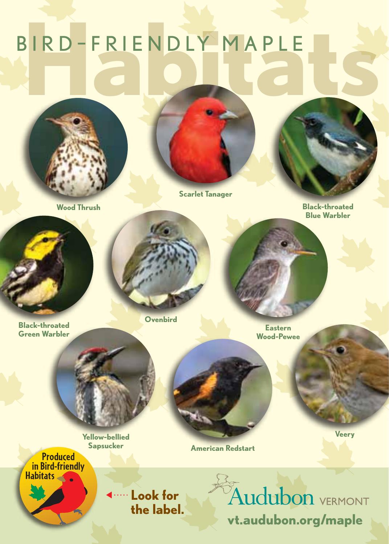# **Habitats** BIR <sup>D</sup> – F R I E N D LY M A P L E



**Scarlet Tanager**

**Sapsucker American Redstart**

**Wood Thrush Black-throated Blue Warbler**

**Veery**

**Ovenbird**

**Black-throated Green Warbler**

**Eastern Wood-Pewee**

**Yellow-bellied** 

**Produced in Bird-friendly Habitats**

> **Look for the label.**

Audubon VERMONT **vt.audubon.org/maple**